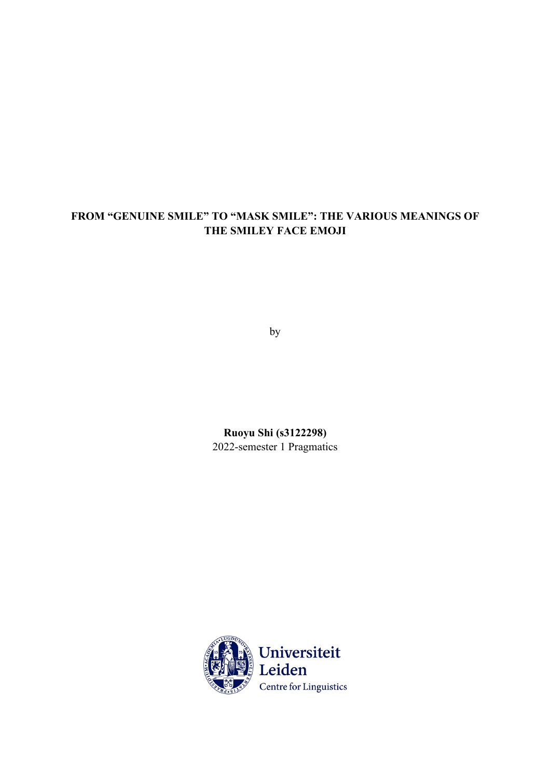# **FROM "GENUINE SMILE" TO "MASK SMILE": THE VARIOUS MEANINGS OF THE SMILEY FACE EMOJI**

by

**Ruoyu Shi (s3122298)** 2022-semester 1 Pragmatics

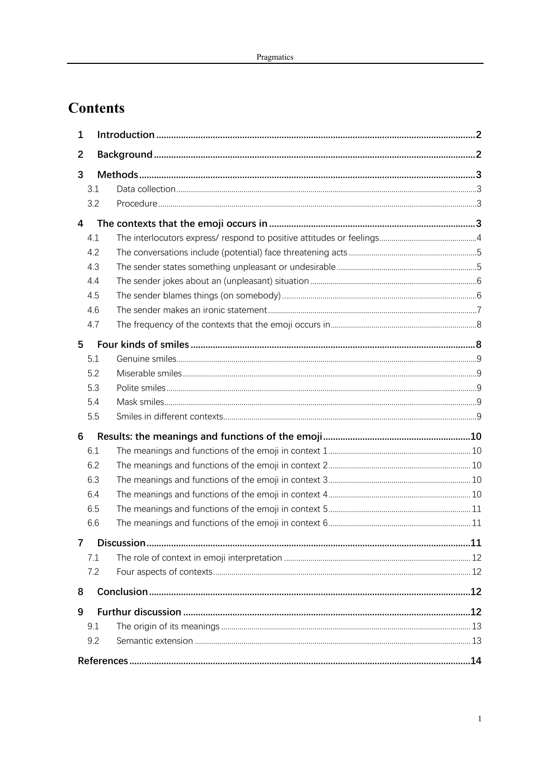# **Contents**

| 1              |     |
|----------------|-----|
| $\overline{2}$ |     |
| 3              |     |
| 3.1            |     |
| 3.2            |     |
| 4              |     |
| 4.1            |     |
| 4.2            |     |
| 4.3            |     |
| 4.4            |     |
| 4.5            |     |
| 4.6            |     |
| 4.7            |     |
| 5              |     |
| 5.1            |     |
| 5.2            |     |
| 5.3            |     |
| 5.4            |     |
| 5.5            |     |
| 6              |     |
| 6.1            |     |
| 6.2            |     |
| 6.3            |     |
| 6.4            |     |
| 6.5            |     |
| 6.6            |     |
|                | .11 |
| 7.1            |     |
| 7.2            |     |
| 8              |     |
| 9              |     |
| 9.1            |     |
| 9.2            |     |
|                | .14 |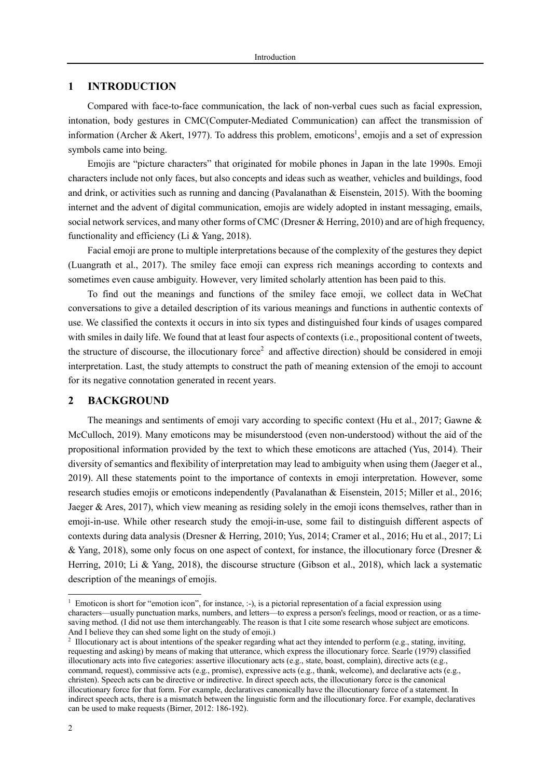# **1 INTRODUCTION**

Compared with face-to-face communication, the lack of non-verbal cues such as facial expression, intonation, body gestures in CMC(Computer-Mediated Communication) can affect the transmission of information (Archer & Akert, 1977). To address this problem, emoticons<sup>1</sup>, emojis and a set of expression symbols came into being.

Emojis are "picture characters" that originated for mobile phones in Japan in the late 1990s. Emoji characters include not only faces, but also concepts and ideas such as weather, vehicles and buildings, food and drink, or activities such as running and dancing (Pavalanathan & Eisenstein, 2015). With the booming internet and the advent of digital communication, emojis are widely adopted in instant messaging, emails, social network services, and many other forms of CMC (Dresner & Herring, 2010) and are of high frequency, functionality and efficiency (Li & Yang, 2018).

Facial emoji are prone to multiple interpretations because of the complexity of the gestures they depict (Luangrath et al., 2017). The smiley face emoji can express rich meanings according to contexts and sometimes even cause ambiguity. However, very limited scholarly attention has been paid to this.

To find out the meanings and functions of the smiley face emoji, we collect data in WeChat conversations to give a detailed description of its various meanings and functions in authentic contexts of use. We classified the contexts it occurs in into six types and distinguished four kinds of usages compared with smiles in daily life. We found that at least four aspects of contexts (i.e., propositional content of tweets, the structure of discourse, the illocutionary force<sup>2</sup> and affective direction) should be considered in emoji interpretation. Last, the study attempts to construct the path of meaning extension of the emoji to account for its negative connotation generated in recent years.

## **2 BACKGROUND**

The meanings and sentiments of emoji vary according to specific context (Hu et al., 2017; Gawne  $\&$ McCulloch, 2019). Many emoticons may be misunderstood (even non-understood) without the aid of the propositional information provided by the text to which these emoticons are attached (Yus, 2014). Their diversity of semantics and flexibility of interpretation may lead to ambiguity when using them (Jaeger et al., 2019). All these statements point to the importance of contexts in emoji interpretation. However, some research studies emojis or emoticons independently (Pavalanathan & Eisenstein, 2015; Miller et al., 2016; Jaeger & Ares, 2017), which view meaning as residing solely in the emoji icons themselves, rather than in emoji-in-use. While other research study the emoji-in-use, some fail to distinguish different aspects of contexts during data analysis (Dresner & Herring, 2010; Yus, 2014; Cramer et al., 2016; Hu et al., 2017; Li & Yang, 2018), some only focus on one aspect of context, for instance, the illocutionary force (Dresner & Herring, 2010; Li & Yang, 2018), the discourse structure (Gibson et al., 2018), which lack a systematic description of the meanings of emojis.

<sup>&</sup>lt;sup>1</sup> Emoticon is short for "emotion icon", for instance,  $:-$ ), is a pictorial representation of a facial expression using characters—usually punctuation marks, numbers, and letters—to express a person's feelings, mood or reaction, or as a timesaving method. (I did not use them interchangeably. The reason is that I cite some research whose subject are emoticons. And I believe they can shed some light on the study of emoji.)

<sup>2</sup> Illocutionary act is about intentions of the speaker regarding what act they intended to perform (e.g., stating, inviting, requesting and asking) by means of making that utterance, which express the illocutionary force. Searle (1979) classified illocutionary acts into five categories: assertive illocutionary acts (e.g., state, boast, complain), directive acts (e.g., command, request), commissive acts (e.g., promise), expressive acts (e.g., thank, welcome), and declarative acts (e.g., christen). Speech acts can be directive or indirective. In direct speech acts, the illocutionary force is the canonical illocutionary force for that form. For example, declaratives canonically have the illocutionary force of a statement. In indirect speech acts, there is a mismatch between the linguistic form and the illocutionary force. For example, declaratives can be used to make requests (Birner, 2012: 186-192).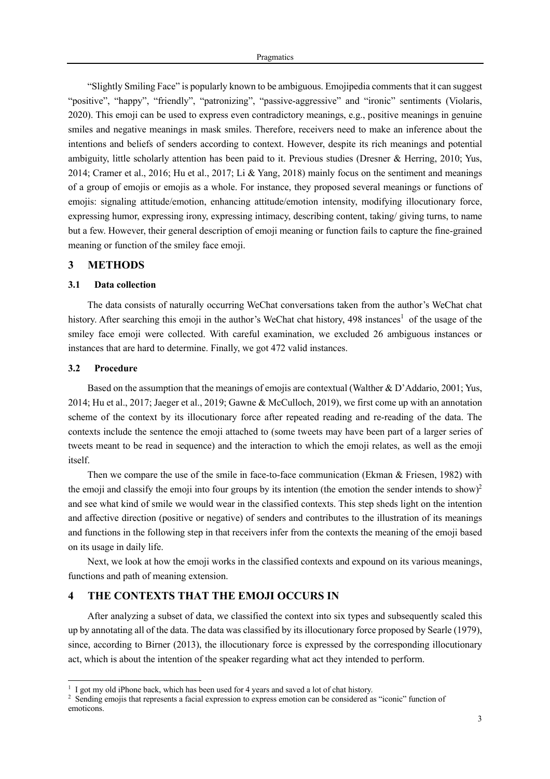"Slightly Smiling Face" is popularly known to be ambiguous. Emojipedia comments that it can suggest "positive", "happy", "friendly", "patronizing", "passive-aggressive" and "ironic" sentiments (Violaris, 2020). This emoji can be used to express even contradictory meanings, e.g., positive meanings in genuine smiles and negative meanings in mask smiles. Therefore, receivers need to make an inference about the intentions and beliefs of senders according to context. However, despite its rich meanings and potential ambiguity, little scholarly attention has been paid to it. Previous studies (Dresner & Herring, 2010; Yus, 2014; Cramer et al., 2016; Hu et al., 2017; Li & Yang, 2018) mainly focus on the sentiment and meanings of a group of emojis or emojis as a whole. For instance, they proposed several meanings or functions of emojis: signaling attitude/emotion, enhancing attitude/emotion intensity, modifying illocutionary force, expressing humor, expressing irony, expressing intimacy, describing content, taking/ giving turns, to name but a few. However, their general description of emoji meaning or function fails to capture the fine-grained meaning or function of the smiley face emoji.

## **3 METHODS**

#### **3.1 Data collection**

The data consists of naturally occurring WeChat conversations taken from the author's WeChat chat history. After searching this emoji in the author's WeChat chat history,  $498$  instances<sup>1</sup> of the usage of the smiley face emoji were collected. With careful examination, we excluded 26 ambiguous instances or instances that are hard to determine. Finally, we got 472 valid instances.

#### **3.2 Procedure**

Based on the assumption that the meanings of emojis are contextual (Walther & D'Addario, 2001; Yus, 2014; Hu et al., 2017; Jaeger et al., 2019; Gawne & McCulloch, 2019), we first come up with an annotation scheme of the context by its illocutionary force after repeated reading and re-reading of the data. The contexts include the sentence the emoji attached to (some tweets may have been part of a larger series of tweets meant to be read in sequence) and the interaction to which the emoji relates, as well as the emoji itself.

Then we compare the use of the smile in face-to-face communication (Ekman & Friesen, 1982) with the emoji and classify the emoji into four groups by its intention (the emotion the sender intends to show)<sup>2</sup> and see what kind of smile we would wear in the classified contexts. This step sheds light on the intention and affective direction (positive or negative) of senders and contributes to the illustration of its meanings and functions in the following step in that receivers infer from the contexts the meaning of the emoji based on its usage in daily life.

Next, we look at how the emoji works in the classified contexts and expound on its various meanings, functions and path of meaning extension.

# **4 THE CONTEXTS THAT THE EMOJI OCCURS IN**

After analyzing a subset of data, we classified the context into six types and subsequently scaled this up by annotating all of the data. The data was classified by its illocutionary force proposed by Searle (1979), since, according to Birner (2013), the illocutionary force is expressed by the corresponding illocutionary act, which is about the intention of the speaker regarding what act they intended to perform.

<sup>&</sup>lt;sup>1</sup> I got my old iPhone back, which has been used for 4 years and saved a lot of chat history.

<sup>&</sup>lt;sup>2</sup> Sending emojis that represents a facial expression to express emotion can be considered as "iconic" function of emoticons.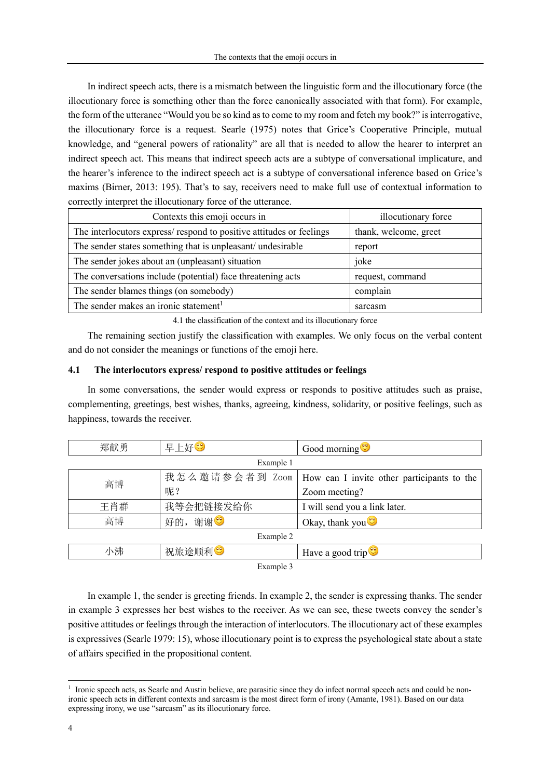In indirect speech acts, there is a mismatch between the linguistic form and the illocutionary force (the illocutionary force is something other than the force canonically associated with that form). For example, the form of the utterance "Would you be so kind as to come to my room and fetch my book?" is interrogative, the illocutionary force is a request. Searle (1975) notes that Grice's Cooperative Principle, mutual knowledge, and "general powers of rationality" are all that is needed to allow the hearer to interpret an indirect speech act. This means that indirect speech acts are a subtype of conversational implicature, and the hearer's inference to the indirect speech act is a subtype of conversational inference based on Grice's maxims (Birner, 2013: 195). That's to say, receivers need to make full use of contextual information to correctly interpret the illocutionary force of the utterance.

| Contexts this emoji occurs in                                       | illocutionary force   |
|---------------------------------------------------------------------|-----------------------|
| The interlocutors express/respond to positive attitudes or feelings | thank, welcome, greet |
| The sender states something that is unpleasant/ undesirable         | report                |
| The sender jokes about an (unpleasant) situation                    | joke                  |
| The conversations include (potential) face threatening acts         | request, command      |
| The sender blames things (on somebody)                              | complain              |
| The sender makes an ironic statement <sup>1</sup>                   | sarcasm               |

4.1 the classification of the context and its illocutionary force

The remaining section justify the classification with examples. We only focus on the verbal content and do not consider the meanings or functions of the emoji here.

## **4.1 The interlocutors express/ respond to positive attitudes or feelings**

In some conversations, the sender would express or responds to positive attitudes such as praise, complementing, greetings, best wishes, thanks, agreeing, kindness, solidarity, or positive feelings, such as happiness, towards the receiver.

| 郑献勇 | 早上好♡                 | Good morning                                                |
|-----|----------------------|-------------------------------------------------------------|
|     | Example 1            |                                                             |
| 高博  |                      | 我怎么邀请参会者到 Zoom   How can I invite other participants to the |
|     | 呢?                   | Zoom meeting?                                               |
| 王肖群 | 我等会把链接发给你            | I will send you a link later.                               |
| 高博  | 好的, 谢谢 <sup>39</sup> | Okay, thank you <sup>.</sup>                                |
|     | Example 2            |                                                             |
| 小沸  | 祝旅途顺利3               | Have a good trip $\bullet$                                  |

Example 3

In example 1, the sender is greeting friends. In example 2, the sender is expressing thanks. The sender in example 3 expresses her best wishes to the receiver. As we can see, these tweets convey the sender's positive attitudes or feelings through the interaction of interlocutors. The illocutionary act of these examples is expressives (Searle 1979: 15), whose illocutionary point is to express the psychological state about a state of affairs specified in the propositional content.

<sup>&</sup>lt;sup>1</sup> Ironic speech acts, as Searle and Austin believe, are parasitic since they do infect normal speech acts and could be nonironic speech acts in different contexts and sarcasm is the most direct form of irony (Amante, 1981). Based on our data expressing irony, we use "sarcasm" as its illocutionary force.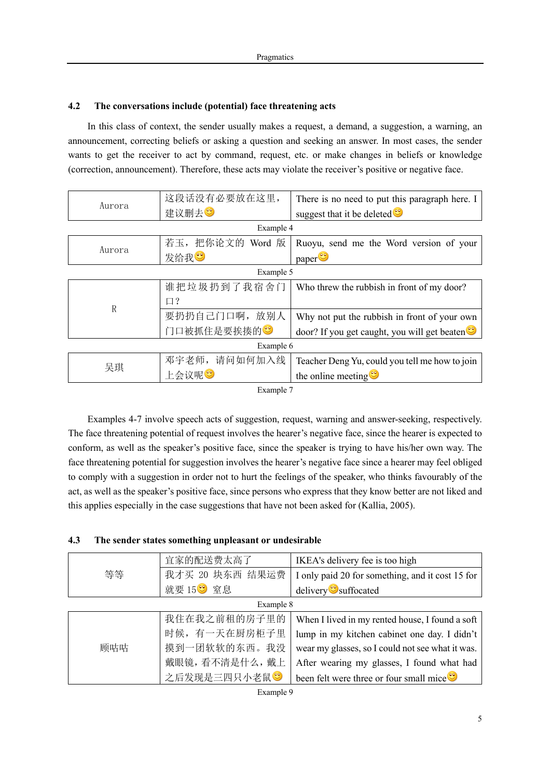# **4.2 The conversations include (potential) face threatening acts**

In this class of context, the sender usually makes a request, a demand, a suggestion, a warning, an announcement, correcting beliefs or asking a question and seeking an answer. In most cases, the sender wants to get the receiver to act by command, request, etc. or make changes in beliefs or knowledge (correction, announcement). Therefore, these acts may violate the receiver's positive or negative face.

| Aurora       | 这段话没有必要放在这里,             | There is no need to put this paragraph here. I |  |
|--------------|--------------------------|------------------------------------------------|--|
|              | 建议删去3                    | suggest that it be deleted $\bullet$           |  |
|              | Example 4                |                                                |  |
| Aurora       | 若玉, 把你论文的 Word 版         | Ruoyu, send me the Word version of your        |  |
|              | 发给我                      | paper                                          |  |
|              | Example 5                |                                                |  |
|              | 谁把垃圾扔到了我宿舍门              | Who threw the rubbish in front of my door?     |  |
| $\mathbb{R}$ | $\Box$ ?                 |                                                |  |
|              | 要扔扔自己门口啊,放别人             | Why not put the rubbish in front of your own   |  |
|              | 门口被抓住是要挨揍的 <sup>39</sup> | door? If you get caught, you will get beaten   |  |
| Example 6    |                          |                                                |  |
| 吴琪           | 邓宇老师, 请问如何加入线            | Teacher Deng Yu, could you tell me how to join |  |
|              | 上会议呢❤                    | the online meeting $\ddot{\bullet}$            |  |
| Example 7    |                          |                                                |  |

Examples 4-7 involve speech acts of suggestion, request, warning and answer-seeking, respectively. The face threatening potential of request involves the hearer's negative face, since the hearer is expected to conform, as well as the speaker's positive face, since the speaker is trying to have his/her own way. The face threatening potential for suggestion involves the hearer's negative face since a hearer may feel obliged to comply with a suggestion in order not to hurt the feelings of the speaker, who thinks favourably of the act, as well as the speaker's positive face, since persons who express that they know better are not liked and this applies especially in the case suggestions that have not been asked for (Kallia, 2005).

| 4.3 | The sender states something unpleasant or undesirable |  |  |
|-----|-------------------------------------------------------|--|--|
|     |                                                       |  |  |

|     | 宜家的配送费太高了             | IKEA's delivery fee is too high                      |
|-----|-----------------------|------------------------------------------------------|
| 等等  | 我才买 20 块东西 结果运费       | I only paid 20 for something, and it cost 15 for     |
|     | 就要 15 <sup>3</sup> 室息 | delivery <sup>3</sup> suffocated                     |
|     | Example 8             |                                                      |
|     | 我住在我之前租的房子里的          | When I lived in my rented house, I found a soft      |
|     | 时候,有一天在厨房柜子里          | lump in my kitchen cabinet one day. I didn't         |
| 顾咕咕 | 摸到一团软软的东西。我没          | wear my glasses, so I could not see what it was.     |
|     | 戴眼镜,看不清是什么,戴上         | After wearing my glasses, I found what had           |
|     | 之后发现是三四只小老鼠。          | been felt were three or four small mice <sup>9</sup> |

Example 9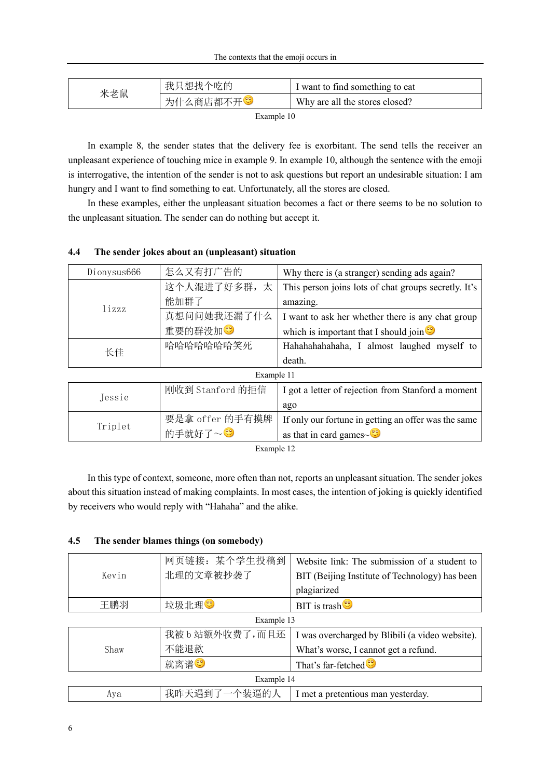| 米老鼠 | 我只想找个吃的   | I want to find something to eat |
|-----|-----------|---------------------------------|
|     | 为什么商店都不开3 | Why are all the stores closed?  |

Example 10

In example 8, the sender states that the delivery fee is exorbitant. The send tells the receiver an unpleasant experience of touching mice in example 9. In example 10, although the sentence with the emoji is interrogative, the intention of the sender is not to ask questions but report an undesirable situation: I am hungry and I want to find something to eat. Unfortunately, all the stores are closed.

In these examples, either the unpleasant situation becomes a fact or there seems to be no solution to the unpleasant situation. The sender can do nothing but accept it.

| Dionysus666 | 怎么又有打广告的         | Why there is (a stranger) sending ads again?         |  |
|-------------|------------------|------------------------------------------------------|--|
|             | 这个人混进了好多群,太      | This person joins lots of chat groups secretly. It's |  |
| lizzz       | 能加群了             | amazing.                                             |  |
|             | 真想问问她我还漏了什么      | I want to ask her whether there is any chat group    |  |
|             | 重要的群没加           | which is important that I should join $\bullet$      |  |
| 长佳          | 哈哈哈哈哈哈哈笑死        | Hahahahahahaha, I almost laughed myself to           |  |
|             |                  | death.                                               |  |
| Example 11  |                  |                                                      |  |
|             | 刚收到 Stanford 的拒信 | I got a letter of rejection from Stanford a moment   |  |
| Jessie      |                  | ago                                                  |  |
| Triplet     | 要是拿 offer 的手有摸牌  | If only our fortune in getting an offer was the same |  |
|             | 的手就好了~3          | as that in card games $\sim$ <sup>0</sup>            |  |

# **4.4 The sender jokes about an (unpleasant) situation**

Example 12

In this type of context, someone, more often than not, reports an unpleasant situation. The sender jokes about this situation instead of making complaints. In most cases, the intention of joking is quickly identified by receivers who would reply with "Hahaha" and the alike.

# **4.5 The sender blames things (on somebody)**

|            | 网页链接: 某个学生投稿到    | Website link: The submission of a student to             |  |
|------------|------------------|----------------------------------------------------------|--|
| Kevin      | 北理的文章被抄袭了        | BIT (Beijing Institute of Technology) has been           |  |
|            |                  | plagiarized                                              |  |
| 王鹏羽        | 垃圾北理♡            | <b>BIT</b> is trash <sup><math>\circledcirc</math></sup> |  |
| Example 13 |                  |                                                          |  |
|            | 我被 b 站额外收费了, 而且还 | I was overcharged by Blibili (a video website).          |  |
| Shaw       | 不能退款             | What's worse, I cannot get a refund.                     |  |
|            | 就离谱3             | That's far-fetched <sup>®</sup>                          |  |
| Example 14 |                  |                                                          |  |
| Aya        | 我昨天遇到了一个装逼的人     | I met a pretentious man yesterday.                       |  |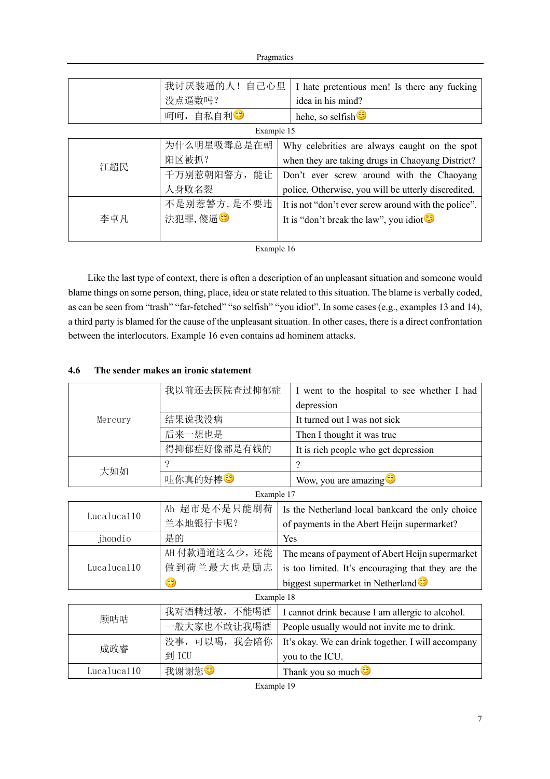Pragmatics

|     | 我讨厌装逼的人!自己心里 | I hate pretentious men! Is there any fucking         |  |
|-----|--------------|------------------------------------------------------|--|
|     | 没点逼数吗?       | idea in his mind?                                    |  |
|     | 自私自利3<br>呵呵, | hehe, so selfish $\ddot{\bullet}$                    |  |
|     | Example 15   |                                                      |  |
|     | 为什么明星吸毒总是在朝  | Why celebrities are always caught on the spot        |  |
| 江超民 | 阳区被抓?        | when they are taking drugs in Chaoyang District?     |  |
|     | 千万别惹朝阳警方, 能让 | Don't ever screw around with the Chaoyang            |  |
|     | 人身败名裂        | police. Otherwise, you will be utterly discredited.  |  |
|     | 不是别惹警方,是不要违  | It is not "don't ever screw around with the police". |  |
| 李卓凡 | 法犯罪,傻逼?      | It is "don't break the law", you idiot $\bullet$     |  |
|     |              |                                                      |  |

Example 16

Like the last type of context, there is often a description of an unpleasant situation and someone would blame things on some person, thing, place, idea or state related to this situation. The blame is verbally coded, as can be seen from "trash" "far-fetched" "so selfish" "you idiot". In some cases (e.g., examples 13 and 14), a third party is blamed for the cause of the unpleasant situation. In other cases, there is a direct confrontation between the interlocutors. Example 16 even contains ad hominem attacks.

# **4.6 The sender makes an ironic statement**

|             | 我以前还去医院查过抑郁症    | I went to the hospital to see whether I had        |  |
|-------------|-----------------|----------------------------------------------------|--|
|             |                 | depression                                         |  |
| Mercury     | 结果说我没病          | It turned out I was not sick                       |  |
|             | 后来一想也是          | Then I thought it was true                         |  |
|             | 得抑郁症好像都是有钱的     | It is rich people who get depression               |  |
| 大如如         | ?               | ?                                                  |  |
|             | 哇你真的好棒          | Wow, you are amazing                               |  |
|             | Example 17      |                                                    |  |
| Lucaluca110 | Ah 超市是不是只能刷荷    | Is the Netherland local bankcard the only choice   |  |
|             | 兰本地银行卡呢?        | of payments in the Abert Heijn supermarket?        |  |
| jhondio     | 是的              | Yes                                                |  |
|             | AH 付款通道这么少, 还能  | The means of payment of Abert Heijn supermarket    |  |
| Lucaluca110 | 做到荷兰最大也是励志      | is too limited. It's encouraging that they are the |  |
|             | ಆ               | biggest supermarket in Netherland <sup>®</sup>     |  |
|             | Example 18      |                                                    |  |
| 顾咕咕         | 我对酒精过敏,<br>不能喝酒 | I cannot drink because I am allergic to alcohol.   |  |
|             | 一般大家也不敢让我喝酒     | People usually would not invite me to drink.       |  |
| 成政睿         | 没事,可以喝,我会陪你     | It's okay. We can drink together. I will accompany |  |
|             | 到 ICU           | you to the ICU.                                    |  |
| Lucaluca110 | 我谢谢您            | Thank you so much <sup>es</sup>                    |  |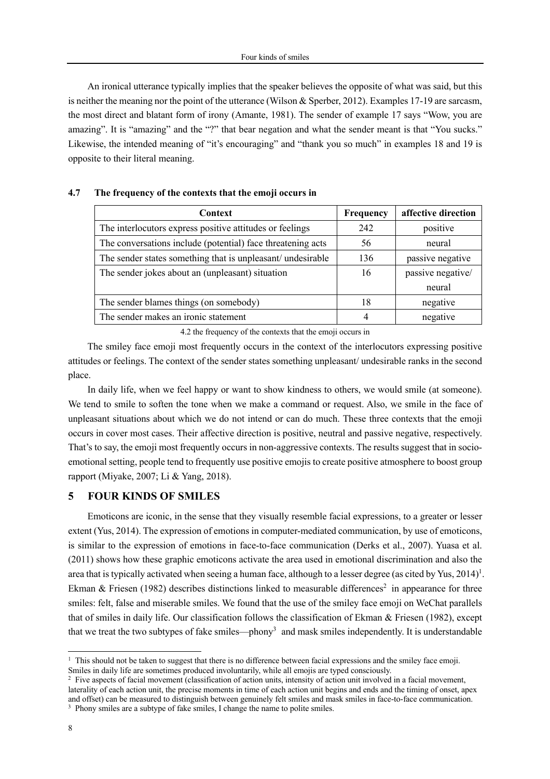An ironical utterance typically implies that the speaker believes the opposite of what was said, but this is neither the meaning nor the point of the utterance (Wilson & Sperber, 2012). Examples 17-19 are sarcasm, the most direct and blatant form of irony (Amante, 1981). The sender of example 17 says "Wow, you are amazing". It is "amazing" and the "?" that bear negation and what the sender meant is that "You sucks." Likewise, the intended meaning of "it's encouraging" and "thank you so much" in examples 18 and 19 is opposite to their literal meaning.

| Context                                                     | Frequency | affective direction |
|-------------------------------------------------------------|-----------|---------------------|
| The interlocutors express positive attitudes or feelings    | 242       | positive            |
| The conversations include (potential) face threatening acts | 56        | neural              |
| The sender states something that is unpleasant/ undesirable | 136       | passive negative    |
| The sender jokes about an (unpleasant) situation            | 16        | passive negative/   |
|                                                             |           | neural              |
| The sender blames things (on somebody)                      | 18        | negative            |
| The sender makes an ironic statement                        | 4         | negative            |

#### **4.7 The frequency of the contexts that the emoji occurs in**

4.2 the frequency of the contexts that the emoji occurs in

The smiley face emoji most frequently occurs in the context of the interlocutors expressing positive attitudes or feelings. The context of the sender states something unpleasant/ undesirable ranks in the second place.

In daily life, when we feel happy or want to show kindness to others, we would smile (at someone). We tend to smile to soften the tone when we make a command or request. Also, we smile in the face of unpleasant situations about which we do not intend or can do much. These three contexts that the emoji occurs in cover most cases. Their affective direction is positive, neutral and passive negative, respectively. That's to say, the emoji most frequently occurs in non-aggressive contexts. The results suggest that in socioemotional setting, people tend to frequently use positive emojis to create positive atmosphere to boost group rapport (Miyake, 2007; Li & Yang, 2018).

# **5 FOUR KINDS OF SMILES**

Emoticons are iconic, in the sense that they visually resemble facial expressions, to a greater or lesser extent (Yus, 2014). The expression of emotions in computer-mediated communication, by use of emoticons, is similar to the expression of emotions in face-to-face communication (Derks et al., 2007). Yuasa et al. (2011) shows how these graphic emoticons activate the area used in emotional discrimination and also the area that is typically activated when seeing a human face, although to a lesser degree (as cited by Yus,  $2014$ )<sup>1</sup>. Ekman & Friesen (1982) describes distinctions linked to measurable differences<sup>2</sup> in appearance for three smiles: felt, false and miserable smiles. We found that the use of the smiley face emoji on WeChat parallels that of smiles in daily life. Our classification follows the classification of Ekman & Friesen (1982), except that we treat the two subtypes of fake smiles—phony<sup>3</sup> and mask smiles independently. It is understandable

 $<sup>1</sup>$  This should not be taken to suggest that there is no difference between facial expressions and the smiley face emoji.</sup> Smiles in daily life are sometimes produced involuntarily, while all emojis are typed consciously.<br><sup>2</sup> Five aspects of facial movement (classification of action units, intensity of action unit involved in a facial movement

laterality of each action unit, the precise moments in time of each action unit begins and ends and the timing of onset, apex and offset) can be measured to distinguish between genuinely felt smiles and mask smiles in face-to-face communication.

<sup>&</sup>lt;sup>3</sup> Phony smiles are a subtype of fake smiles, I change the name to polite smiles.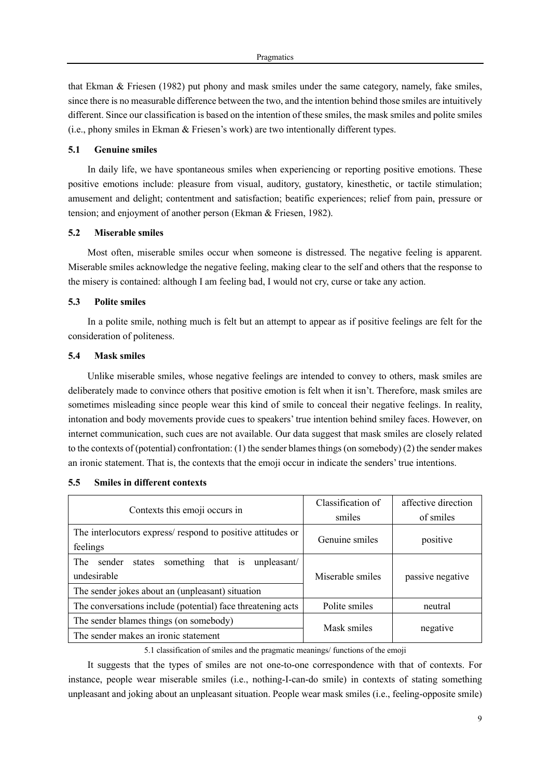that Ekman & Friesen (1982) put phony and mask smiles under the same category, namely, fake smiles, since there is no measurable difference between the two, and the intention behind those smiles are intuitively different. Since our classification is based on the intention of these smiles, the mask smiles and polite smiles (i.e., phony smiles in Ekman & Friesen's work) are two intentionally different types.

## **5.1 Genuine smiles**

In daily life, we have spontaneous smiles when experiencing or reporting positive emotions. These positive emotions include: pleasure from visual, auditory, gustatory, kinesthetic, or tactile stimulation; amusement and delight; contentment and satisfaction; beatific experiences; relief from pain, pressure or tension; and enjoyment of another person (Ekman & Friesen, 1982).

## **5.2 Miserable smiles**

Most often, miserable smiles occur when someone is distressed. The negative feeling is apparent. Miserable smiles acknowledge the negative feeling, making clear to the self and others that the response to the misery is contained: although I am feeling bad, I would not cry, curse or take any action.

#### **5.3 Polite smiles**

In a polite smile, nothing much is felt but an attempt to appear as if positive feelings are felt for the consideration of politeness.

## **5.4 Mask smiles**

Unlike miserable smiles, whose negative feelings are intended to convey to others, mask smiles are deliberately made to convince others that positive emotion is felt when it isn't. Therefore, mask smiles are sometimes misleading since people wear this kind of smile to conceal their negative feelings. In reality, intonation and body movements provide cues to speakers' true intention behind smiley faces. However, on internet communication, such cues are not available. Our data suggest that mask smiles are closely related to the contexts of (potential) confrontation: (1) the sender blames things (on somebody) (2) the sender makes an ironic statement. That is, the contexts that the emoji occur in indicate the senders' true intentions.

|                                                             | Classification of          | affective direction |
|-------------------------------------------------------------|----------------------------|---------------------|
| Contexts this emoji occurs in                               | smiles                     | of smiles           |
| The interlocutors express/respond to positive attitudes or  | Genuine smiles<br>positive |                     |
| feelings                                                    |                            |                     |
| something<br>The<br>that is unpleasant/<br>sender<br>states |                            |                     |
| undesirable                                                 | Miserable smiles           | passive negative    |
| The sender jokes about an (unpleasant) situation            |                            |                     |
| The conversations include (potential) face threatening acts | Polite smiles              | neutral             |
| The sender blames things (on somebody)                      |                            |                     |
| The sender makes an ironic statement                        | Mask smiles<br>negative    |                     |

# **5.5 Smiles in different contexts**

5.1 classification of smiles and the pragmatic meanings/ functions of the emoji

It suggests that the types of smiles are not one-to-one correspondence with that of contexts. For instance, people wear miserable smiles (i.e., nothing-I-can-do smile) in contexts of stating something unpleasant and joking about an unpleasant situation. People wear mask smiles (i.e., feeling-opposite smile)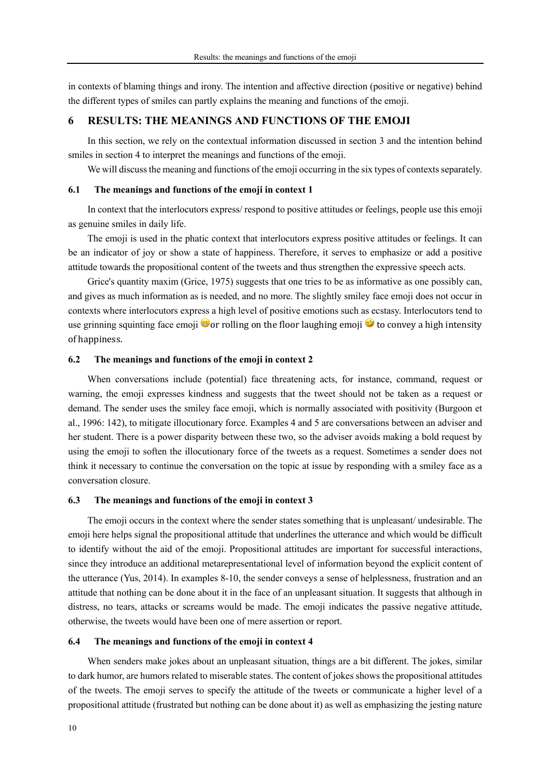in contexts of blaming things and irony. The intention and affective direction (positive or negative) behind the different types of smiles can partly explains the meaning and functions of the emoji.

# **6 RESULTS: THE MEANINGS AND FUNCTIONS OF THE EMOJI**

In this section, we rely on the contextual information discussed in section 3 and the intention behind smiles in section 4 to interpret the meanings and functions of the emoji.

We will discuss the meaning and functions of the emoji occurring in the six types of contexts separately.

#### **6.1 The meanings and functions of the emoji in context 1**

In context that the interlocutors express/ respond to positive attitudes or feelings, people use this emoji as genuine smiles in daily life.

The emoji is used in the phatic context that interlocutors express positive attitudes or feelings. It can be an indicator of joy or show a state of happiness. Therefore, it serves to emphasize or add a positive attitude towards the propositional content of the tweets and thus strengthen the expressive speech acts.

Grice's quantity maxim (Grice, 1975) suggests that one tries to be as informative as one possibly can, and gives as much information as is needed, and no more. The slightly smiley face emoji does not occur in contexts where interlocutors express a high level of positive emotions such as ecstasy. Interlocutors tend to use grinning squinting face emoji  $\bullet$  or rolling on the floor laughing emoji  $\bullet$  to convey a high intensity of happiness.

### **6.2 The meanings and functions of the emoji in context 2**

When conversations include (potential) face threatening acts, for instance, command, request or warning, the emoji expresses kindness and suggests that the tweet should not be taken as a request or demand. The sender uses the smiley face emoji, which is normally associated with positivity (Burgoon et al., 1996: 142), to mitigate illocutionary force. Examples 4 and 5 are conversations between an adviser and her student. There is a power disparity between these two, so the adviser avoids making a bold request by using the emoji to soften the illocutionary force of the tweets as a request. Sometimes a sender does not think it necessary to continue the conversation on the topic at issue by responding with a smiley face as a conversation closure.

#### **6.3 The meanings and functions of the emoji in context 3**

The emoji occurs in the context where the sender states something that is unpleasant/ undesirable. The emoji here helps signal the propositional attitude that underlines the utterance and which would be difficult to identify without the aid of the emoji. Propositional attitudes are important for successful interactions, since they introduce an additional metarepresentational level of information beyond the explicit content of the utterance (Yus, 2014). In examples 8-10, the sender conveys a sense of helplessness, frustration and an attitude that nothing can be done about it in the face of an unpleasant situation. It suggests that although in distress, no tears, attacks or screams would be made. The emoji indicates the passive negative attitude, otherwise, the tweets would have been one of mere assertion or report.

#### **6.4 The meanings and functions of the emoji in context 4**

When senders make jokes about an unpleasant situation, things are a bit different. The jokes, similar to dark humor, are humors related to miserable states. The content of jokes shows the propositional attitudes of the tweets. The emoji serves to specify the attitude of the tweets or communicate a higher level of a propositional attitude (frustrated but nothing can be done about it) as well as emphasizing the jesting nature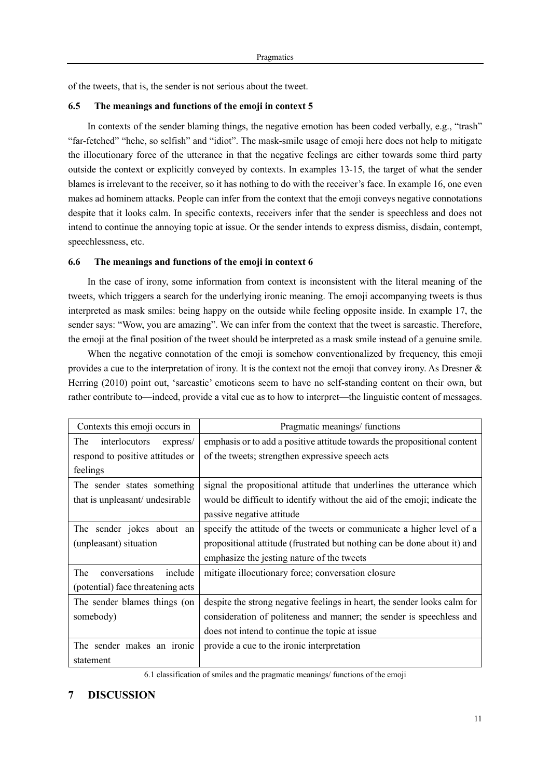of the tweets, that is, the sender is not serious about the tweet.

# **6.5 The meanings and functions of the emoji in context 5**

In contexts of the sender blaming things, the negative emotion has been coded verbally, e.g., "trash" "far-fetched" "hehe, so selfish" and "idiot". The mask-smile usage of emoji here does not help to mitigate the illocutionary force of the utterance in that the negative feelings are either towards some third party outside the context or explicitly conveyed by contexts. In examples 13-15, the target of what the sender blames is irrelevant to the receiver, so it has nothing to do with the receiver's face. In example 16, one even makes ad hominem attacks. People can infer from the context that the emoji conveys negative connotations despite that it looks calm. In specific contexts, receivers infer that the sender is speechless and does not intend to continue the annoying topic at issue. Or the sender intends to express dismiss, disdain, contempt, speechlessness, etc.

# **6.6 The meanings and functions of the emoji in context 6**

In the case of irony, some information from context is inconsistent with the literal meaning of the tweets, which triggers a search for the underlying ironic meaning. The emoji accompanying tweets is thus interpreted as mask smiles: being happy on the outside while feeling opposite inside. In example 17, the sender says: "Wow, you are amazing". We can infer from the context that the tweet is sarcastic. Therefore, the emoji at the final position of the tweet should be interpreted as a mask smile instead of a genuine smile.

When the negative connotation of the emoji is somehow conventionalized by frequency, this emoji provides a cue to the interpretation of irony. It is the context not the emoji that convey irony. As Dresner & Herring (2010) point out, 'sarcastic' emoticons seem to have no self-standing content on their own, but rather contribute to—indeed, provide a vital cue as to how to interpret—the linguistic content of messages.

| Contexts this emoji occurs in     | Pragmatic meanings/ functions                                             |  |
|-----------------------------------|---------------------------------------------------------------------------|--|
| The<br>interlocutors<br>express/  | emphasis or to add a positive attitude towards the propositional content  |  |
| respond to positive attitudes or  | of the tweets; strengthen expressive speech acts                          |  |
| feelings                          |                                                                           |  |
| The sender states something       | signal the propositional attitude that underlines the utterance which     |  |
| that is unpleasant/ undesirable   | would be difficult to identify without the aid of the emoji; indicate the |  |
|                                   | passive negative attitude                                                 |  |
| The sender jokes about an         | specify the attitude of the tweets or communicate a higher level of a     |  |
| (unpleasant) situation            | propositional attitude (frustrated but nothing can be done about it) and  |  |
|                                   | emphasize the jesting nature of the tweets                                |  |
| The<br>conversations<br>include   | mitigate illocutionary force; conversation closure                        |  |
| (potential) face threatening acts |                                                                           |  |
| The sender blames things (on      | despite the strong negative feelings in heart, the sender looks calm for  |  |
| somebody)                         | consideration of politeness and manner; the sender is speechless and      |  |
|                                   | does not intend to continue the topic at issue                            |  |
| The sender makes an ironic        | provide a cue to the ironic interpretation                                |  |
| statement                         |                                                                           |  |

6.1 classification of smiles and the pragmatic meanings/ functions of the emoji

# **7 DISCUSSION**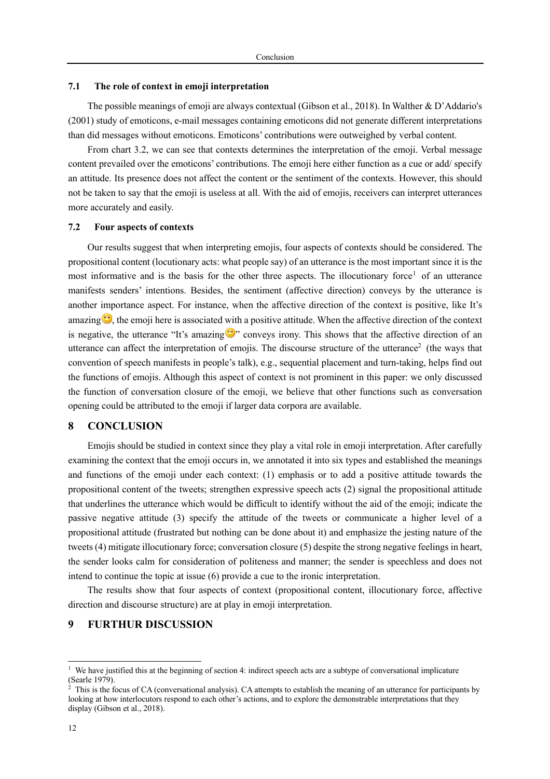#### **7.1 The role of context in emoji interpretation**

The possible meanings of emoji are always contextual (Gibson et al., 2018). In Walther & D'Addario's (2001) study of emoticons, e-mail messages containing emoticons did not generate different interpretations than did messages without emoticons. Emoticons' contributions were outweighed by verbal content.

From chart 3.2, we can see that contexts determines the interpretation of the emoji. Verbal message content prevailed over the emoticons' contributions. The emoji here either function as a cue or add/ specify an attitude. Its presence does not affect the content or the sentiment of the contexts. However, this should not be taken to say that the emoji is useless at all. With the aid of emojis, receivers can interpret utterances more accurately and easily.

# **7.2 Four aspects of contexts**

Our results suggest that when interpreting emojis, four aspects of contexts should be considered. The propositional content (locutionary acts: what people say) of an utterance is the most important since it is the most informative and is the basis for the other three aspects. The illocutionary force<sup>1</sup> of an utterance manifests senders' intentions. Besides, the sentiment (affective direction) conveys by the utterance is another importance aspect. For instance, when the affective direction of the context is positive, like It's amazing  $\bullet$ , the emoji here is associated with a positive attitude. When the affective direction of the context is negative, the utterance "It's amazing  $\mathbb{S}^n$  conveys irony. This shows that the affective direction of an utterance can affect the interpretation of emojis. The discourse structure of the utterance<sup>2</sup> (the ways that convention of speech manifests in people's talk), e.g., sequential placement and turn-taking, helps find out the functions of emojis. Although this aspect of context is not prominent in this paper: we only discussed the function of conversation closure of the emoji, we believe that other functions such as conversation opening could be attributed to the emoji if larger data corpora are available.

# **8 CONCLUSION**

Emojis should be studied in context since they play a vital role in emoji interpretation. After carefully examining the context that the emoji occurs in, we annotated it into six types and established the meanings and functions of the emoji under each context: (1) emphasis or to add a positive attitude towards the propositional content of the tweets; strengthen expressive speech acts (2) signal the propositional attitude that underlines the utterance which would be difficult to identify without the aid of the emoji; indicate the passive negative attitude (3) specify the attitude of the tweets or communicate a higher level of a propositional attitude (frustrated but nothing can be done about it) and emphasize the jesting nature of the tweets (4) mitigate illocutionary force; conversation closure (5) despite the strong negative feelings in heart, the sender looks calm for consideration of politeness and manner; the sender is speechless and does not intend to continue the topic at issue (6) provide a cue to the ironic interpretation.

The results show that four aspects of context (propositional content, illocutionary force, affective direction and discourse structure) are at play in emoji interpretation.

# **9 FURTHUR DISCUSSION**

We have justified this at the beginning of section 4: indirect speech acts are a subtype of conversational implicature (Searle 1979).

 $2 \text{ This is the focus of CA (conversational analysis). CA attempts to establish the meaning of an utterance for participants by }$ looking at how interlocutors respond to each other's actions, and to explore the demonstrable interpretations that they display (Gibson et al., 2018).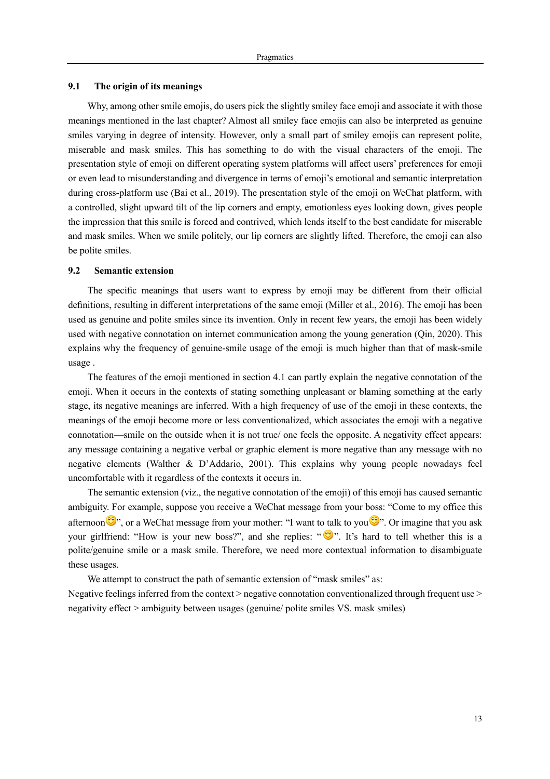#### **9.1 The origin of its meanings**

Why, among other smile emojis, do users pick the slightly smiley face emoji and associate it with those meanings mentioned in the last chapter? Almost all smiley face emojis can also be interpreted as genuine smiles varying in degree of intensity. However, only a small part of smiley emojis can represent polite, miserable and mask smiles. This has something to do with the visual characters of the emoji. The presentation style of emoji on different operating system platforms will affect users' preferences for emoji or even lead to misunderstanding and divergence in terms of emoji's emotional and semantic interpretation during cross-platform use (Bai et al., 2019). The presentation style of the emoji on WeChat platform, with a controlled, slight upward tilt of the lip corners and empty, emotionless eyes looking down, gives people the impression that this smile is forced and contrived, which lends itself to the best candidate for miserable and mask smiles. When we smile politely, our lip corners are slightly lifted. Therefore, the emoji can also be polite smiles.

#### **9.2 Semantic extension**

The specific meanings that users want to express by emoji may be different from their official definitions, resulting in different interpretations of the same emoji (Miller et al., 2016). The emoji has been used as genuine and polite smiles since its invention. Only in recent few years, the emoji has been widely used with negative connotation on internet communication among the young generation (Qin, 2020). This explains why the frequency of genuine-smile usage of the emoji is much higher than that of mask-smile usage .

The features of the emoji mentioned in section 4.1 can partly explain the negative connotation of the emoji. When it occurs in the contexts of stating something unpleasant or blaming something at the early stage, its negative meanings are inferred. With a high frequency of use of the emoji in these contexts, the meanings of the emoji become more or less conventionalized, which associates the emoji with a negative connotation—smile on the outside when it is not true/ one feels the opposite. A negativity effect appears: any message containing a negative verbal or graphic element is more negative than any message with no negative elements (Walther & D'Addario, 2001). This explains why young people nowadays feel uncomfortable with it regardless of the contexts it occurs in.

The semantic extension (viz., the negative connotation of the emoji) of this emoji has caused semantic ambiguity. For example, suppose you receive a WeChat message from your boss: "Come to my office this afternoon  $\mathcal{F}$ , or a WeChat message from your mother: "I want to talk to you  $\mathcal{F}$ ". Or imagine that you ask your girlfriend: "How is your new boss?", and she replies: """. It's hard to tell whether this is a polite/genuine smile or a mask smile. Therefore, we need more contextual information to disambiguate these usages.

We attempt to construct the path of semantic extension of "mask smiles" as: Negative feelings inferred from the context  $>$  negative connotation conventionalized through frequent use  $>$ negativity effect > ambiguity between usages (genuine/ polite smiles VS. mask smiles)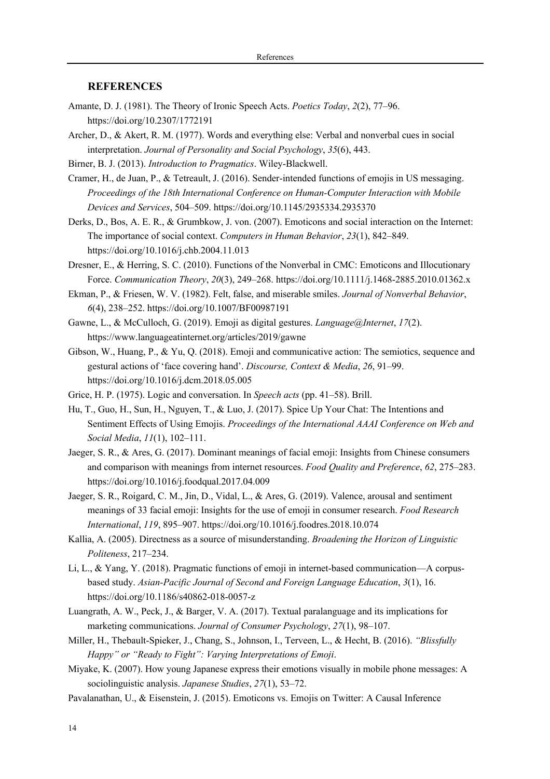# **REFERENCES**

- Amante, D. J. (1981). The Theory of Ironic Speech Acts. *Poetics Today*, *2*(2), 77–96. https://doi.org/10.2307/1772191
- Archer, D., & Akert, R. M. (1977). Words and everything else: Verbal and nonverbal cues in social interpretation. *Journal of Personality and Social Psychology*, *35*(6), 443.
- Birner, B. J. (2013). *Introduction to Pragmatics*. Wiley-Blackwell.
- Cramer, H., de Juan, P., & Tetreault, J. (2016). Sender-intended functions of emojis in US messaging. *Proceedings of the 18th International Conference on Human-Computer Interaction with Mobile Devices and Services*, 504–509. https://doi.org/10.1145/2935334.2935370
- Derks, D., Bos, A. E. R., & Grumbkow, J. von. (2007). Emoticons and social interaction on the Internet: The importance of social context. *Computers in Human Behavior*, *23*(1), 842–849. https://doi.org/10.1016/j.chb.2004.11.013
- Dresner, E., & Herring, S. C. (2010). Functions of the Nonverbal in CMC: Emoticons and Illocutionary Force. *Communication Theory*, *20*(3), 249–268. https://doi.org/10.1111/j.1468-2885.2010.01362.x
- Ekman, P., & Friesen, W. V. (1982). Felt, false, and miserable smiles. *Journal of Nonverbal Behavior*, *6*(4), 238–252. https://doi.org/10.1007/BF00987191
- Gawne, L., & McCulloch, G. (2019). Emoji as digital gestures. *Language@Internet*, *17*(2). https://www.languageatinternet.org/articles/2019/gawne
- Gibson, W., Huang, P., & Yu, Q. (2018). Emoji and communicative action: The semiotics, sequence and gestural actions of 'face covering hand'. *Discourse, Context & Media*, *26*, 91–99. https://doi.org/10.1016/j.dcm.2018.05.005
- Grice, H. P. (1975). Logic and conversation. In *Speech acts* (pp. 41–58). Brill.
- Hu, T., Guo, H., Sun, H., Nguyen, T., & Luo, J. (2017). Spice Up Your Chat: The Intentions and Sentiment Effects of Using Emojis. *Proceedings of the International AAAI Conference on Web and Social Media*, *11*(1), 102–111.
- Jaeger, S. R., & Ares, G. (2017). Dominant meanings of facial emoji: Insights from Chinese consumers and comparison with meanings from internet resources. *Food Quality and Preference*, *62*, 275–283. https://doi.org/10.1016/j.foodqual.2017.04.009
- Jaeger, S. R., Roigard, C. M., Jin, D., Vidal, L., & Ares, G. (2019). Valence, arousal and sentiment meanings of 33 facial emoji: Insights for the use of emoji in consumer research. *Food Research International*, *119*, 895–907. https://doi.org/10.1016/j.foodres.2018.10.074
- Kallia, A. (2005). Directness as a source of misunderstanding. *Broadening the Horizon of Linguistic Politeness*, 217–234.
- Li, L., & Yang, Y. (2018). Pragmatic functions of emoji in internet-based communication—A corpusbased study. *Asian-Pacific Journal of Second and Foreign Language Education*, *3*(1), 16. https://doi.org/10.1186/s40862-018-0057-z
- Luangrath, A. W., Peck, J., & Barger, V. A. (2017). Textual paralanguage and its implications for marketing communications. *Journal of Consumer Psychology*, *27*(1), 98–107.
- Miller, H., Thebault-Spieker, J., Chang, S., Johnson, I., Terveen, L., & Hecht, B. (2016). *"Blissfully Happy" or "Ready to Fight": Varying Interpretations of Emoji*.
- Miyake, K. (2007). How young Japanese express their emotions visually in mobile phone messages: A sociolinguistic analysis. *Japanese Studies*, *27*(1), 53–72.
- Pavalanathan, U., & Eisenstein, J. (2015). Emoticons vs. Emojis on Twitter: A Causal Inference